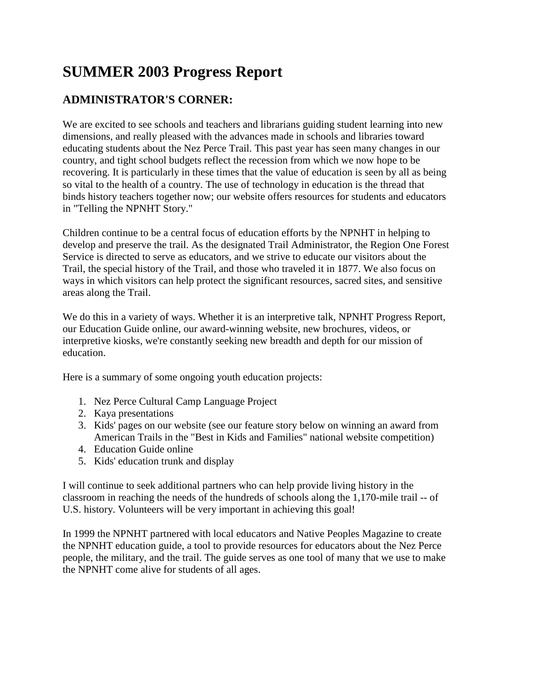## **SUMMER 2003 Progress Report**

## **ADMINISTRATOR'S CORNER:**

We are excited to see schools and teachers and librarians guiding student learning into new dimensions, and really pleased with the advances made in schools and libraries toward educating students about the Nez Perce Trail. This past year has seen many changes in our country, and tight school budgets reflect the recession from which we now hope to be recovering. It is particularly in these times that the value of education is seen by all as being so vital to the health of a country. The use of technology in education is the thread that binds history teachers together now; our website offers resources for students and educators in "Telling the NPNHT Story."

Children continue to be a central focus of education efforts by the NPNHT in helping to develop and preserve the trail. As the designated Trail Administrator, the Region One Forest Service is directed to serve as educators, and we strive to educate our visitors about the Trail, the special history of the Trail, and those who traveled it in 1877. We also focus on ways in which visitors can help protect the significant resources, sacred sites, and sensitive areas along the Trail.

We do this in a variety of ways. Whether it is an interpretive talk, NPNHT Progress Report, our Education Guide online, our award-winning website, new brochures, videos, or interpretive kiosks, we're constantly seeking new breadth and depth for our mission of education.

Here is a summary of some ongoing youth education projects:

- 1. Nez Perce Cultural Camp Language Project
- 2. Kaya presentations
- 3. Kids' pages on our website (see our feature story below on winning an award from American Trails in the "Best in Kids and Families" national website competition)
- 4. Education Guide online
- 5. Kids' education trunk and display

I will continue to seek additional partners who can help provide living history in the classroom in reaching the needs of the hundreds of schools along the 1,170-mile trail -- of U.S. history. Volunteers will be very important in achieving this goal!

In 1999 the NPNHT partnered with local educators and Native Peoples Magazine to create the NPNHT education guide, a tool to provide resources for educators about the Nez Perce people, the military, and the trail. The guide serves as one tool of many that we use to make the NPNHT come alive for students of all ages.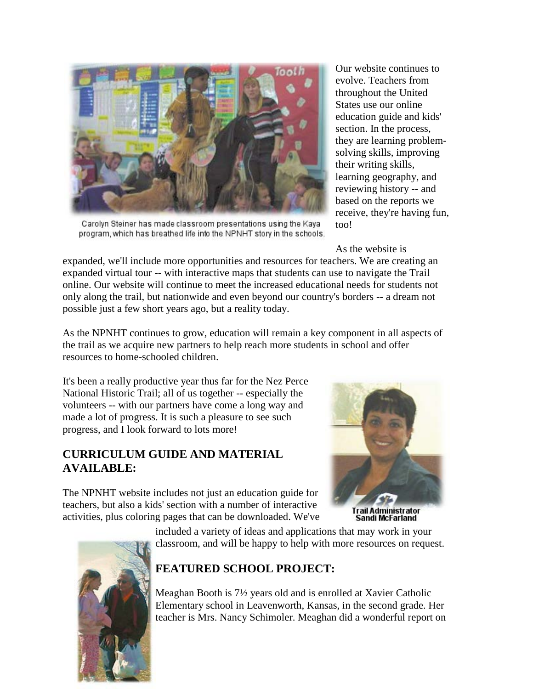

Carolyn Steiner has made classroom presentations using the Kaya program, which has breathed life into the NPNHT story in the schools.

Our website continues to evolve. Teachers from throughout the United States use our online education guide and kids' section. In the process, they are learning problemsolving skills, improving their writing skills, learning geography, and reviewing history -- and based on the reports we receive, they're having fun, too!

As the website is

expanded, we'll include more opportunities and resources for teachers. We are creating an expanded virtual tour -- with interactive maps that students can use to navigate the Trail online. Our website will continue to meet the increased educational needs for students not only along the trail, but nationwide and even beyond our country's borders -- a dream not possible just a few short years ago, but a reality today.

As the NPNHT continues to grow, education will remain a key component in all aspects of the trail as we acquire new partners to help reach more students in school and offer resources to home-schooled children.

It's been a really productive year thus far for the Nez Perce National Historic Trail; all of us together -- especially the volunteers -- with our partners have come a long way and made a lot of progress. It is such a pleasure to see such progress, and I look forward to lots more!

## **CURRICULUM GUIDE AND MATERIAL AVAILABLE:**

The NPNHT website includes not just an education guide for teachers, but also a kids' section with a number of interactive activities, plus coloring pages that can be downloaded. We've



**Trail Administrator** Sandi McFarland

included a variety of ideas and applications that may work in your classroom, and will be happy to help with more resources on request.

## **FEATURED SCHOOL PROJECT:**

Meaghan Booth is 7½ years old and is enrolled at Xavier Catholic Elementary school in Leavenworth, Kansas, in the second grade. Her teacher is Mrs. Nancy Schimoler. Meaghan did a wonderful report on

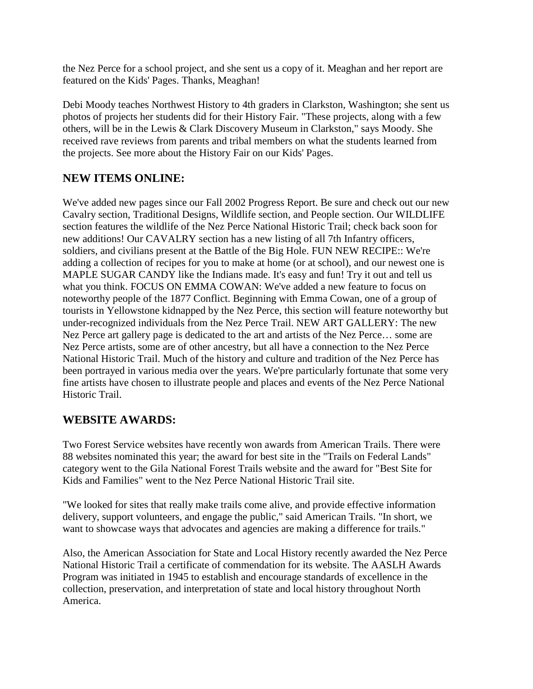the Nez Perce for a school project, and she sent us a copy of it. Meaghan and her report are featured on the Kids' Pages. Thanks, Meaghan!

Debi Moody teaches Northwest History to 4th graders in Clarkston, Washington; she sent us photos of projects her students did for their History Fair. "These projects, along with a few others, will be in the Lewis & Clark Discovery Museum in Clarkston," says Moody. She received rave reviews from parents and tribal members on what the students learned from the projects. See more about the History Fair on our Kids' Pages.

## **NEW ITEMS ONLINE:**

We've added new pages since our Fall 2002 Progress Report. Be sure and check out our new Cavalry section, Traditional Designs, Wildlife section, and People section. Our WILDLIFE section features the wildlife of the Nez Perce National Historic Trail; check back soon for new additions! Our CAVALRY section has a new listing of all 7th Infantry officers, soldiers, and civilians present at the Battle of the Big Hole. FUN NEW RECIPE:: We're adding a collection of recipes for you to make at home (or at school), and our newest one is MAPLE SUGAR CANDY like the Indians made. It's easy and fun! Try it out and tell us what you think. FOCUS ON EMMA COWAN: We've added a new feature to focus on noteworthy people of the 1877 Conflict. Beginning with Emma Cowan, one of a group of tourists in Yellowstone kidnapped by the Nez Perce, this section will feature noteworthy but under-recognized individuals from the Nez Perce Trail. NEW ART GALLERY: The new Nez Perce art gallery page is dedicated to the art and artists of the Nez Perce… some are Nez Perce artists, some are of other ancestry, but all have a connection to the Nez Perce National Historic Trail. Much of the history and culture and tradition of the Nez Perce has been portrayed in various media over the years. We'pre particularly fortunate that some very fine artists have chosen to illustrate people and places and events of the Nez Perce National Historic Trail.

## **WEBSITE AWARDS:**

Two Forest Service websites have recently won awards from American Trails. There were 88 websites nominated this year; the award for best site in the "Trails on Federal Lands" category went to the Gila National Forest Trails website and the award for "Best Site for Kids and Families" went to the Nez Perce National Historic Trail site.

"We looked for sites that really make trails come alive, and provide effective information delivery, support volunteers, and engage the public," said American Trails. "In short, we want to showcase ways that advocates and agencies are making a difference for trails."

Also, the American Association for State and Local History recently awarded the Nez Perce National Historic Trail a certificate of commendation for its website. The AASLH Awards Program was initiated in 1945 to establish and encourage standards of excellence in the collection, preservation, and interpretation of state and local history throughout North America.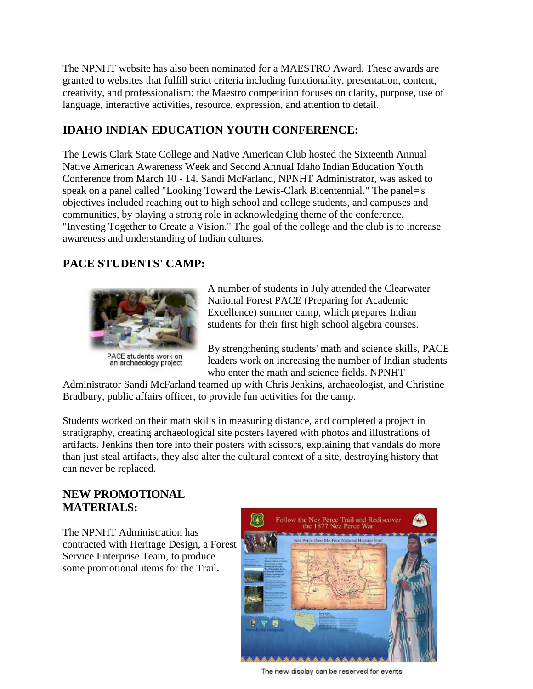The NPNHT website has also been nominated for a MAESTRO Award. These awards are granted to websites that fulfill strict criteria including functionality, presentation, content, creativity, and professionalism; the Maestro competition focuses on clarity, purpose, use of language, interactive activities, resource, expression, and attention to detail.

## **IDAHO INDIAN EDUCATION YOUTH CONFERENCE:**

The Lewis Clark State College and Native American Club hosted the Sixteenth Annual Native American Awareness Week and Second Annual Idaho Indian Education Youth Conference from March 10 - 14. Sandi McFarland, NPNHT Administrator, was asked to speak on a panel called "Looking Toward the Lewis-Clark Bicentennial." The panel='s objectives included reaching out to high school and college students, and campuses and communities, by playing a strong role in acknowledging theme of the conference, "Investing Together to Create a Vision." The goal of the college and the club is to increase awareness and understanding of Indian cultures.

## **PACE STUDENTS' CAMP:**



an archaeology project

A number of students in July attended the Clearwater National Forest PACE (Preparing for Academic Excellence) summer camp, which prepares Indian students for their first high school algebra courses.

By strengthening students' math and science skills, PACE leaders work on increasing the number of Indian students who enter the math and science fields. NPNHT

Administrator Sandi McFarland teamed up with Chris Jenkins, archaeologist, and Christine Bradbury, public affairs officer, to provide fun activities for the camp.

Students worked on their math skills in measuring distance, and completed a project in stratigraphy, creating archaeological site posters layered with photos and illustrations of artifacts. Jenkins then tore into their posters with scissors, explaining that vandals do more than just steal artifacts, they also alter the cultural context of a site, destroying history that can never be replaced.

#### **NEW PROMOTIONAL MATERIALS:**

The NPNHT Administration has contracted with Heritage Design, a Forest Service Enterprise Team, to produce some promotional items for the Trail.



The new display can be reserved for events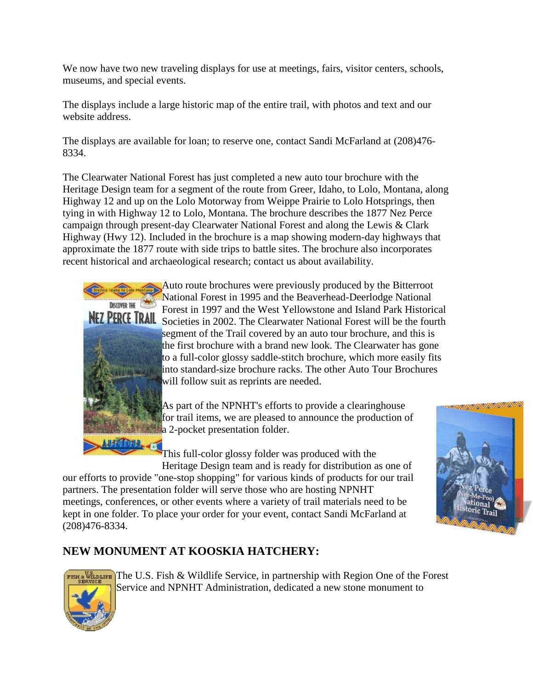We now have two new traveling displays for use at meetings, fairs, visitor centers, schools, museums, and special events.

The displays include a large historic map of the entire trail, with photos and text and our website address.

The displays are available for loan; to reserve one, contact Sandi McFarland at (208)476- 8334.

The Clearwater National Forest has just completed a new auto tour brochure with the Heritage Design team for a segment of the route from Greer, Idaho, to Lolo, Montana, along Highway 12 and up on the Lolo Motorway from Weippe Prairie to Lolo Hotsprings, then tying in with Highway 12 to Lolo, Montana. The brochure describes the 1877 Nez Perce campaign through present-day Clearwater National Forest and along the Lewis & Clark Highway (Hwy 12). Included in the brochure is a map showing modern-day highways that approximate the 1877 route with side trips to battle sites. The brochure also incorporates recent historical and archaeological research; contact us about availability.



Auto route brochures were previously produced by the Bitterroot National Forest in 1995 and the Beaverhead-Deerlodge National Forest in 1997 and the West Yellowstone and Island Park Historical NEZ PERCE TRAIL Societies in 2002. The Clearwater National Forest will be the fourth segment of the Trail covered by an auto tour brochure, and this is the first brochure with a brand new look. The Clearwater has gone to a full-color glossy saddle-stitch brochure, which more easily fits into standard-size brochure racks. The other Auto Tour Brochures will follow suit as reprints are needed.

> As part of the NPNHT's efforts to provide a clearinghouse for trail items, we are pleased to announce the production of a 2-pocket presentation folder.

> This full-color glossy folder was produced with the Heritage Design team and is ready for distribution as one of

our efforts to provide "one-stop shopping" for various kinds of products for our trail partners. The presentation folder will serve those who are hosting NPNHT meetings, conferences, or other events where a variety of trail materials need to be kept in one folder. To place your order for your event, contact Sandi McFarland at (208)476-8334.

## **NEW MONUMENT AT KOOSKIA HATCHERY:**



 $\frac{1}{2}$  The U.S. Fish & Wildlife Service, in partnership with Region One of the Forest Service and NPNHT Administration, dedicated a new stone monument to

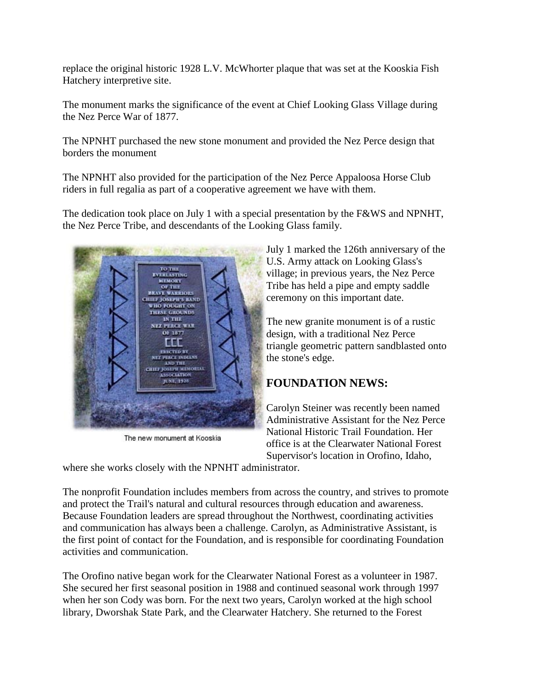replace the original historic 1928 L.V. McWhorter plaque that was set at the Kooskia Fish Hatchery interpretive site.

The monument marks the significance of the event at Chief Looking Glass Village during the Nez Perce War of 1877.

The NPNHT purchased the new stone monument and provided the Nez Perce design that borders the monument

The NPNHT also provided for the participation of the Nez Perce Appaloosa Horse Club riders in full regalia as part of a cooperative agreement we have with them.

The dedication took place on July 1 with a special presentation by the F&WS and NPNHT, the Nez Perce Tribe, and descendants of the Looking Glass family.



The new monument at Kooskia

July 1 marked the 126th anniversary of the U.S. Army attack on Looking Glass's village; in previous years, the Nez Perce Tribe has held a pipe and empty saddle ceremony on this important date.

The new granite monument is of a rustic design, with a traditional Nez Perce triangle geometric pattern sandblasted onto the stone's edge.

## **FOUNDATION NEWS:**

Carolyn Steiner was recently been named Administrative Assistant for the Nez Perce National Historic Trail Foundation. Her office is at the Clearwater National Forest Supervisor's location in Orofino, Idaho,

where she works closely with the NPNHT administrator.

The nonprofit Foundation includes members from across the country, and strives to promote and protect the Trail's natural and cultural resources through education and awareness. Because Foundation leaders are spread throughout the Northwest, coordinating activities and communication has always been a challenge. Carolyn, as Administrative Assistant, is the first point of contact for the Foundation, and is responsible for coordinating Foundation activities and communication.

The Orofino native began work for the Clearwater National Forest as a volunteer in 1987. She secured her first seasonal position in 1988 and continued seasonal work through 1997 when her son Cody was born. For the next two years, Carolyn worked at the high school library, Dworshak State Park, and the Clearwater Hatchery. She returned to the Forest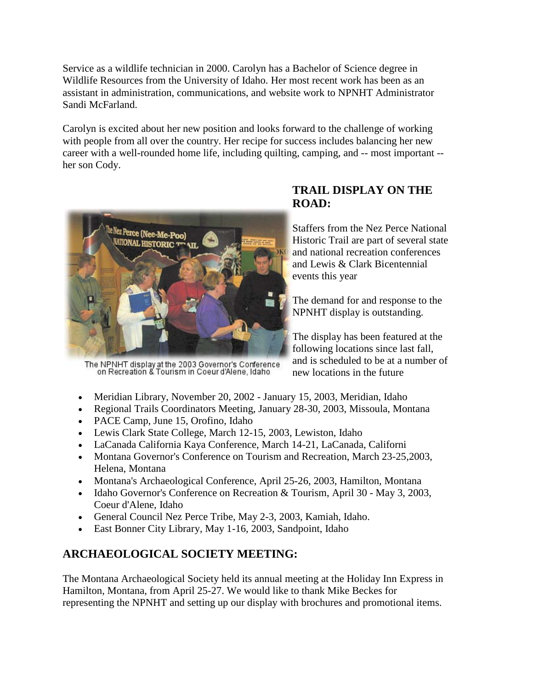Service as a wildlife technician in 2000. Carolyn has a Bachelor of Science degree in Wildlife Resources from the University of Idaho. Her most recent work has been as an assistant in administration, communications, and website work to NPNHT Administrator Sandi McFarland.

Carolyn is excited about her new position and looks forward to the challenge of working with people from all over the country. Her recipe for success includes balancing her new career with a well-rounded home life, including quilting, camping, and -- most important - her son Cody.



The NPNHT display at the 2003 Governor's Conference<br>on Recreation & Tourism in Coeur d'Alene, Idaho

## **TRAIL DISPLAY ON THE ROAD:**

Staffers from the Nez Perce National Historic Trail are part of several state and national recreation conferences and Lewis & Clark Bicentennial events this year

The demand for and response to the NPNHT display is outstanding.

The display has been featured at the following locations since last fall, and is scheduled to be at a number of new locations in the future

- Meridian Library, November 20, 2002 January 15, 2003, Meridian, Idaho
- Regional Trails Coordinators Meeting, January 28-30, 2003, Missoula, Montana
- PACE Camp, June 15, Orofino, Idaho
- Lewis Clark State College, March 12-15, 2003, Lewiston, Idaho
- LaCanada California Kaya Conference, March 14-21, LaCanada, Californi
- Montana Governor's Conference on Tourism and Recreation, March 23-25,2003, Helena, Montana
- Montana's Archaeological Conference, April 25-26, 2003, Hamilton, Montana
- Idaho Governor's Conference on Recreation & Tourism, April 30 May 3, 2003, Coeur d'Alene, Idaho
- General Council Nez Perce Tribe, May 2-3, 2003, Kamiah, Idaho.
- East Bonner City Library, May 1-16, 2003, Sandpoint, Idaho

## **ARCHAEOLOGICAL SOCIETY MEETING:**

The Montana Archaeological Society held its annual meeting at the Holiday Inn Express in Hamilton, Montana, from April 25-27. We would like to thank Mike Beckes for representing the NPNHT and setting up our display with brochures and promotional items.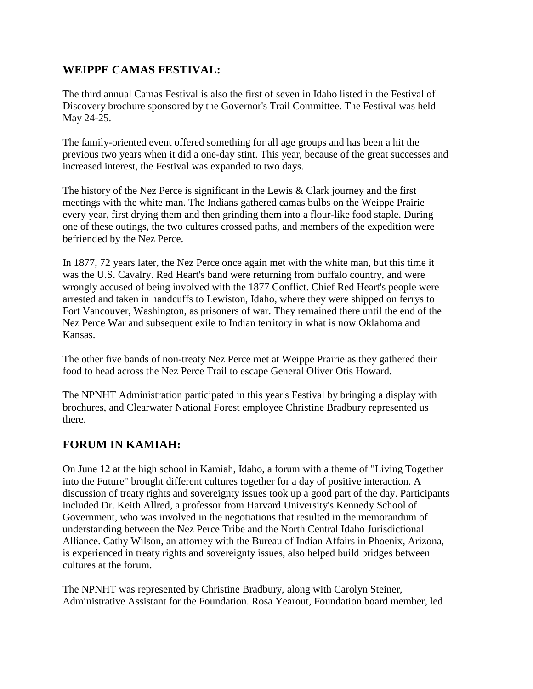### **WEIPPE CAMAS FESTIVAL:**

The third annual Camas Festival is also the first of seven in Idaho listed in the Festival of Discovery brochure sponsored by the Governor's Trail Committee. The Festival was held May 24-25.

The family-oriented event offered something for all age groups and has been a hit the previous two years when it did a one-day stint. This year, because of the great successes and increased interest, the Festival was expanded to two days.

The history of the Nez Perce is significant in the Lewis & Clark journey and the first meetings with the white man. The Indians gathered camas bulbs on the Weippe Prairie every year, first drying them and then grinding them into a flour-like food staple. During one of these outings, the two cultures crossed paths, and members of the expedition were befriended by the Nez Perce.

In 1877, 72 years later, the Nez Perce once again met with the white man, but this time it was the U.S. Cavalry. Red Heart's band were returning from buffalo country, and were wrongly accused of being involved with the 1877 Conflict. Chief Red Heart's people were arrested and taken in handcuffs to Lewiston, Idaho, where they were shipped on ferrys to Fort Vancouver, Washington, as prisoners of war. They remained there until the end of the Nez Perce War and subsequent exile to Indian territory in what is now Oklahoma and Kansas.

The other five bands of non-treaty Nez Perce met at Weippe Prairie as they gathered their food to head across the Nez Perce Trail to escape General Oliver Otis Howard.

The NPNHT Administration participated in this year's Festival by bringing a display with brochures, and Clearwater National Forest employee Christine Bradbury represented us there.

## **FORUM IN KAMIAH:**

On June 12 at the high school in Kamiah, Idaho, a forum with a theme of "Living Together into the Future" brought different cultures together for a day of positive interaction. A discussion of treaty rights and sovereignty issues took up a good part of the day. Participants included Dr. Keith Allred, a professor from Harvard University's Kennedy School of Government, who was involved in the negotiations that resulted in the memorandum of understanding between the Nez Perce Tribe and the North Central Idaho Jurisdictional Alliance. Cathy Wilson, an attorney with the Bureau of Indian Affairs in Phoenix, Arizona, is experienced in treaty rights and sovereignty issues, also helped build bridges between cultures at the forum.

The NPNHT was represented by Christine Bradbury, along with Carolyn Steiner, Administrative Assistant for the Foundation. Rosa Yearout, Foundation board member, led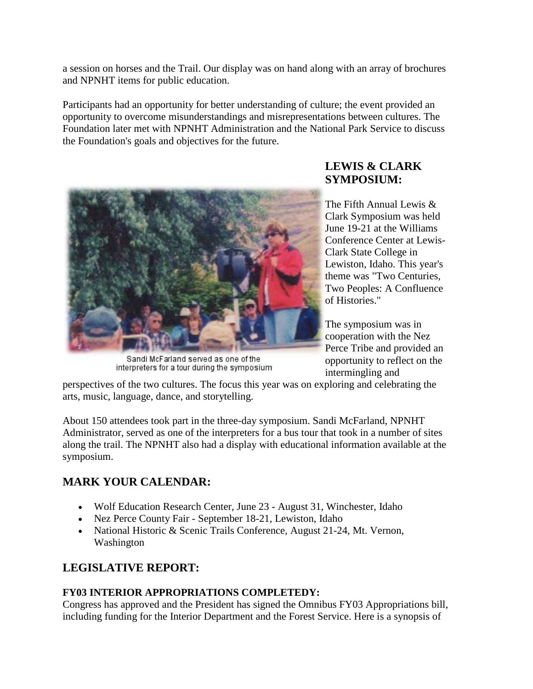a session on horses and the Trail. Our display was on hand along with an array of brochures and NPNHT items for public education.

Participants had an opportunity for better understanding of culture; the event provided an opportunity to overcome misunderstandings and misrepresentations between cultures. The Foundation later met with NPNHT Administration and the National Park Service to discuss the Foundation's goals and objectives for the future.



Sandi McFarland served as one of the interpreters for a tour during the symposium

## **LEWIS & CLARK SYMPOSIUM:**

The Fifth Annual Lewis & Clark Symposium was held June 19-21 at the Williams Conference Center at Lewis-Clark State College in Lewiston, Idaho. This year's theme was "Two Centuries, Two Peoples: A Confluence of Histories."

The symposium was in cooperation with the Nez Perce Tribe and provided an opportunity to reflect on the intermingling and

perspectives of the two cultures. The focus this year was on exploring and celebrating the arts, music, language, dance, and storytelling.

About 150 attendees took part in the three-day symposium. Sandi McFarland, NPNHT Administrator, served as one of the interpreters for a bus tour that took in a number of sites along the trail. The NPNHT also had a display with educational information available at the symposium.

## **MARK YOUR CALENDAR:**

- Wolf Education Research Center, June 23 August 31, Winchester, Idaho
- Nez Perce County Fair September 18-21, Lewiston, Idaho
- National Historic & Scenic Trails Conference, August 21-24, Mt. Vernon, Washington

## **LEGISLATIVE REPORT:**

#### **FY03 INTERIOR APPROPRIATIONS COMPLETEDY:**

Congress has approved and the President has signed the Omnibus FY03 Appropriations bill, including funding for the Interior Department and the Forest Service. Here is a synopsis of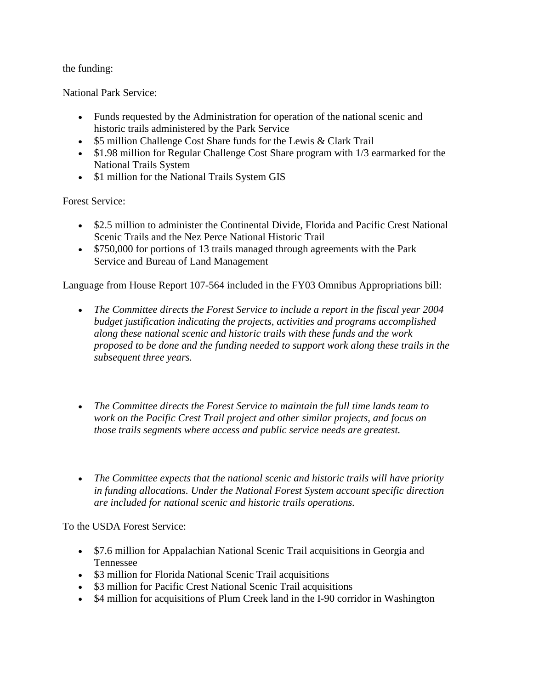the funding:

National Park Service:

- Funds requested by the Administration for operation of the national scenic and historic trails administered by the Park Service
- \$5 million Challenge Cost Share funds for the Lewis & Clark Trail
- \$1.98 million for Regular Challenge Cost Share program with 1/3 earmarked for the National Trails System
- \$1 million for the National Trails System GIS

Forest Service:

- \$2.5 million to administer the Continental Divide, Florida and Pacific Crest National Scenic Trails and the Nez Perce National Historic Trail
- \$750,000 for portions of 13 trails managed through agreements with the Park Service and Bureau of Land Management

Language from House Report 107-564 included in the FY03 Omnibus Appropriations bill:

- *The Committee directs the Forest Service to include a report in the fiscal year 2004 budget justification indicating the projects, activities and programs accomplished along these national scenic and historic trails with these funds and the work proposed to be done and the funding needed to support work along these trails in the subsequent three years.*
- *The Committee directs the Forest Service to maintain the full time lands team to work on the Pacific Crest Trail project and other similar projects, and focus on those trails segments where access and public service needs are greatest.*
- *The Committee expects that the national scenic and historic trails will have priority in funding allocations. Under the National Forest System account specific direction are included for national scenic and historic trails operations.*

To the USDA Forest Service:

- \$7.6 million for Appalachian National Scenic Trail acquisitions in Georgia and Tennessee
- \$3 million for Florida National Scenic Trail acquisitions
- \$3 million for Pacific Crest National Scenic Trail acquisitions
- \$4 million for acquisitions of Plum Creek land in the I-90 corridor in Washington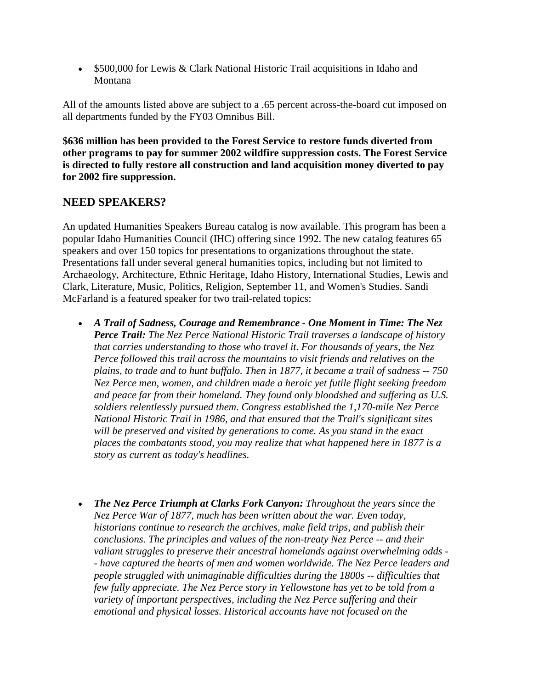• \$500,000 for Lewis & Clark National Historic Trail acquisitions in Idaho and Montana

All of the amounts listed above are subject to a .65 percent across-the-board cut imposed on all departments funded by the FY03 Omnibus Bill.

**\$636 million has been provided to the Forest Service to restore funds diverted from other programs to pay for summer 2002 wildfire suppression costs. The Forest Service is directed to fully restore all construction and land acquisition money diverted to pay for 2002 fire suppression.**

#### **NEED SPEAKERS?**

An updated Humanities Speakers Bureau catalog is now available. This program has been a popular Idaho Humanities Council (IHC) offering since 1992. The new catalog features 65 speakers and over 150 topics for presentations to organizations throughout the state. Presentations fall under several general humanities topics, including but not limited to Archaeology, Architecture, Ethnic Heritage, Idaho History, International Studies, Lewis and Clark, Literature, Music, Politics, Religion, September 11, and Women's Studies. Sandi McFarland is a featured speaker for two trail-related topics:

- *A Trail of Sadness, Courage and Remembrance - One Moment in Time: The Nez Perce Trail: The Nez Perce National Historic Trail traverses a landscape of history that carries understanding to those who travel it. For thousands of years, the Nez Perce followed this trail across the mountains to visit friends and relatives on the plains, to trade and to hunt buffalo. Then in 1877, it became a trail of sadness -- 750 Nez Perce men, women, and children made a heroic yet futile flight seeking freedom and peace far from their homeland. They found only bloodshed and suffering as U.S. soldiers relentlessly pursued them. Congress established the 1,170-mile Nez Perce National Historic Trail in 1986, and that ensured that the Trail's significant sites will be preserved and visited by generations to come. As you stand in the exact places the combatants stood, you may realize that what happened here in 1877 is a story as current as today's headlines.*
- *The Nez Perce Triumph at Clarks Fork Canyon: Throughout the years since the Nez Perce War of 1877, much has been written about the war. Even today, historians continue to research the archives, make field trips, and publish their conclusions. The principles and values of the non-treaty Nez Perce -- and their valiant struggles to preserve their ancestral homelands against overwhelming odds - - have captured the hearts of men and women worldwide. The Nez Perce leaders and people struggled with unimaginable difficulties during the 1800s -- difficulties that few fully appreciate. The Nez Perce story in Yellowstone has yet to be told from a variety of important perspectives, including the Nez Perce suffering and their emotional and physical losses. Historical accounts have not focused on the*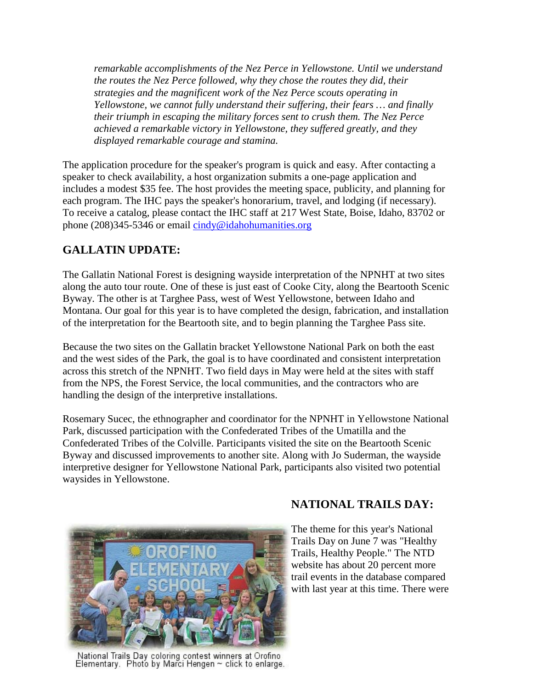*remarkable accomplishments of the Nez Perce in Yellowstone. Until we understand the routes the Nez Perce followed, why they chose the routes they did, their strategies and the magnificent work of the Nez Perce scouts operating in Yellowstone, we cannot fully understand their suffering, their fears … and finally their triumph in escaping the military forces sent to crush them. The Nez Perce achieved a remarkable victory in Yellowstone, they suffered greatly, and they displayed remarkable courage and stamina.*

The application procedure for the speaker's program is quick and easy. After contacting a speaker to check availability, a host organization submits a one-page application and includes a modest \$35 fee. The host provides the meeting space, publicity, and planning for each program. The IHC pays the speaker's honorarium, travel, and lodging (if necessary). To receive a catalog, please contact the IHC staff at 217 West State, Boise, Idaho, 83702 or phone (208)345-5346 or email [cindy@idahohumanities.org](mailto:cindy@idahohumanities.org)

## **GALLATIN UPDATE:**

The Gallatin National Forest is designing wayside interpretation of the NPNHT at two sites along the auto tour route. One of these is just east of Cooke City, along the Beartooth Scenic Byway. The other is at Targhee Pass, west of West Yellowstone, between Idaho and Montana. Our goal for this year is to have completed the design, fabrication, and installation of the interpretation for the Beartooth site, and to begin planning the Targhee Pass site.

Because the two sites on the Gallatin bracket Yellowstone National Park on both the east and the west sides of the Park, the goal is to have coordinated and consistent interpretation across this stretch of the NPNHT. Two field days in May were held at the sites with staff from the NPS, the Forest Service, the local communities, and the contractors who are handling the design of the interpretive installations.

Rosemary Sucec, the ethnographer and coordinator for the NPNHT in Yellowstone National Park, discussed participation with the Confederated Tribes of the Umatilla and the Confederated Tribes of the Colville. Participants visited the site on the Beartooth Scenic Byway and discussed improvements to another site. Along with Jo Suderman, the wayside interpretive designer for Yellowstone National Park, participants also visited two potential waysides in Yellowstone.



National Trails Day coloring contest winners at Orofino Elementary. Photo by Marci Hengen ~ click to enlarge.

## **NATIONAL TRAILS DAY:**

The theme for this year's National Trails Day on June 7 was "Healthy Trails, Healthy People." The NTD website has about 20 percent more trail events in the database compared with last year at this time. There were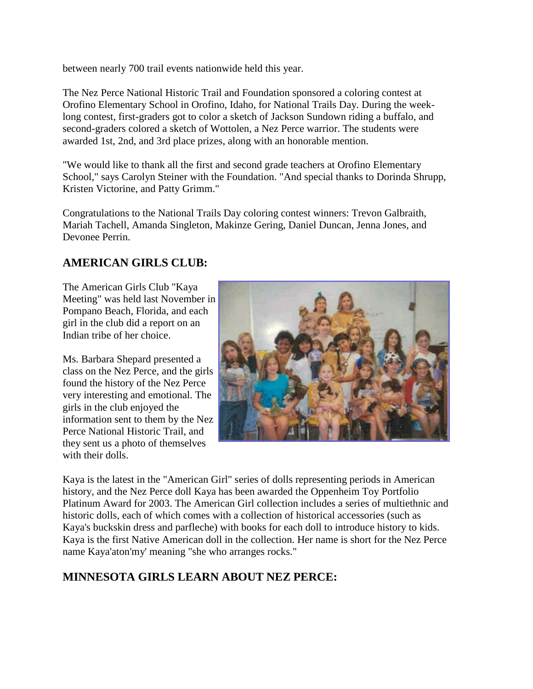between nearly 700 trail events nationwide held this year.

The Nez Perce National Historic Trail and Foundation sponsored a coloring contest at Orofino Elementary School in Orofino, Idaho, for National Trails Day. During the weeklong contest, first-graders got to color a sketch of Jackson Sundown riding a buffalo, and second-graders colored a sketch of Wottolen, a Nez Perce warrior. The students were awarded 1st, 2nd, and 3rd place prizes, along with an honorable mention.

"We would like to thank all the first and second grade teachers at Orofino Elementary School," says Carolyn Steiner with the Foundation. "And special thanks to Dorinda Shrupp, Kristen Victorine, and Patty Grimm."

Congratulations to the National Trails Day coloring contest winners: Trevon Galbraith, Mariah Tachell, Amanda Singleton, Makinze Gering, Daniel Duncan, Jenna Jones, and Devonee Perrin.

#### **AMERICAN GIRLS CLUB:**

The American Girls Club "Kaya Meeting" was held last November in Pompano Beach, Florida, and each girl in the club did a report on an Indian tribe of her choice.

Ms. Barbara Shepard presented a class on the Nez Perce, and the girls found the history of the Nez Perce very interesting and emotional. The girls in the club enjoyed the information sent to them by the Nez Perce National Historic Trail, and they sent us a photo of themselves with their dolls.



Kaya is the latest in the "American Girl" series of dolls representing periods in American history, and the Nez Perce doll Kaya has been awarded the Oppenheim Toy Portfolio Platinum Award for 2003. The American Girl collection includes a series of multiethnic and historic dolls, each of which comes with a collection of historical accessories (such as Kaya's buckskin dress and parfleche) with books for each doll to introduce history to kids. Kaya is the first Native American doll in the collection. Her name is short for the Nez Perce name Kaya'aton'my' meaning "she who arranges rocks."

#### **MINNESOTA GIRLS LEARN ABOUT NEZ PERCE:**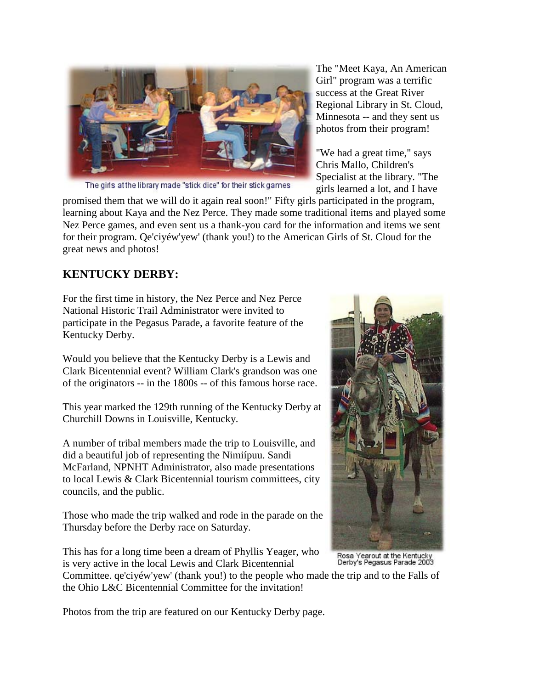

The girls at the library made "stick dice" for their stick games

The "Meet Kaya, An American Girl" program was a terrific success at the Great River Regional Library in St. Cloud, Minnesota -- and they sent us photos from their program!

"We had a great time," says Chris Mallo, Children's Specialist at the library. "The girls learned a lot, and I have

promised them that we will do it again real soon!" Fifty girls participated in the program, learning about Kaya and the Nez Perce. They made some traditional items and played some Nez Perce games, and even sent us a thank-you card for the information and items we sent for their program. Qe'ciyéw'yew' (thank you!) to the American Girls of St. Cloud for the great news and photos!

#### **KENTUCKY DERBY:**

For the first time in history, the Nez Perce and Nez Perce National Historic Trail Administrator were invited to participate in the Pegasus Parade, a favorite feature of the Kentucky Derby.

Would you believe that the Kentucky Derby is a Lewis and Clark Bicentennial event? William Clark's grandson was one of the originators -- in the 1800s -- of this famous horse race.

This year marked the 129th running of the Kentucky Derby at Churchill Downs in Louisville, Kentucky.

A number of tribal members made the trip to Louisville, and did a beautiful job of representing the Nimiípuu. Sandi McFarland, NPNHT Administrator, also made presentations to local Lewis & Clark Bicentennial tourism committees, city councils, and the public.

Those who made the trip walked and rode in the parade on the Thursday before the Derby race on Saturday.

This has for a long time been a dream of Phyllis Yeager, who is very active in the local Lewis and Clark Bicentennial

Committee. qe'ciyéw'yew' (thank you!) to the people who made the trip and to the Falls of the Ohio L&C Bicentennial Committee for the invitation!

Photos from the trip are featured on our Kentucky Derby page.



Rosa Yearout at the Kentucky<br>Derby's Pegasus Parade 2003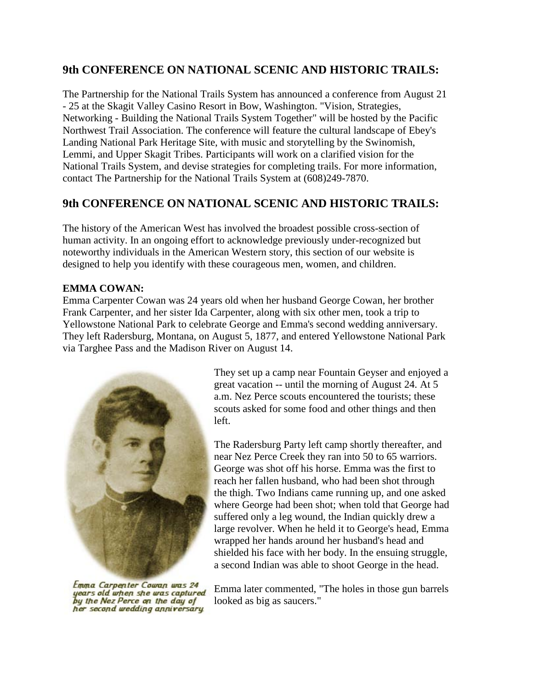#### **9th CONFERENCE ON NATIONAL SCENIC AND HISTORIC TRAILS:**

The Partnership for the National Trails System has announced a conference from August 21 - 25 at the Skagit Valley Casino Resort in Bow, Washington. "Vision, Strategies, Networking - Building the National Trails System Together" will be hosted by the Pacific Northwest Trail Association. The conference will feature the cultural landscape of Ebey's Landing National Park Heritage Site, with music and storytelling by the Swinomish, Lemmi, and Upper Skagit Tribes. Participants will work on a clarified vision for the National Trails System, and devise strategies for completing trails. For more information, contact The Partnership for the National Trails System at (608)249-7870.

#### **9th CONFERENCE ON NATIONAL SCENIC AND HISTORIC TRAILS:**

The history of the American West has involved the broadest possible cross-section of human activity. In an ongoing effort to acknowledge previously under-recognized but noteworthy individuals in the American Western story, this section of our website is designed to help you identify with these courageous men, women, and children.

#### **EMMA COWAN:**

Emma Carpenter Cowan was 24 years old when her husband George Cowan, her brother Frank Carpenter, and her sister Ida Carpenter, along with six other men, took a trip to Yellowstone National Park to celebrate George and Emma's second wedding anniversary. They left Radersburg, Montana, on August 5, 1877, and entered Yellowstone National Park via Targhee Pass and the Madison River on August 14.



They set up a camp near Fountain Geyser and enjoyed a great vacation -- until the morning of August 24. At 5 a.m. Nez Perce scouts encountered the tourists; these scouts asked for some food and other things and then left.

The Radersburg Party left camp shortly thereafter, and near Nez Perce Creek they ran into 50 to 65 warriors. George was shot off his horse. Emma was the first to reach her fallen husband, who had been shot through the thigh. Two Indians came running up, and one asked where George had been shot; when told that George had suffered only a leg wound, the Indian quickly drew a large revolver. When he held it to George's head, Emma wrapped her hands around her husband's head and shielded his face with her body. In the ensuing struggle, a second Indian was able to shoot George in the head.

Emma Carpenter Cowan was 24 years old when she was captured by the Nez Perce on the day of her second wedding anniversary

Emma later commented, "The holes in those gun barrels looked as big as saucers."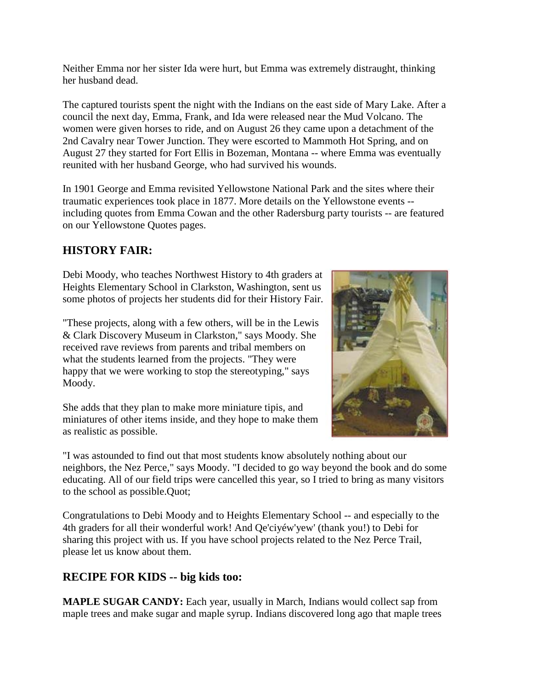Neither Emma nor her sister Ida were hurt, but Emma was extremely distraught, thinking her husband dead.

The captured tourists spent the night with the Indians on the east side of Mary Lake. After a council the next day, Emma, Frank, and Ida were released near the Mud Volcano. The women were given horses to ride, and on August 26 they came upon a detachment of the 2nd Cavalry near Tower Junction. They were escorted to Mammoth Hot Spring, and on August 27 they started for Fort Ellis in Bozeman, Montana -- where Emma was eventually reunited with her husband George, who had survived his wounds.

In 1901 George and Emma revisited Yellowstone National Park and the sites where their traumatic experiences took place in 1877. More details on the Yellowstone events - including quotes from Emma Cowan and the other Radersburg party tourists -- are featured on our Yellowstone Quotes pages.

## **HISTORY FAIR:**

Debi Moody, who teaches Northwest History to 4th graders at Heights Elementary School in Clarkston, Washington, sent us some photos of projects her students did for their History Fair.

"These projects, along with a few others, will be in the Lewis & Clark Discovery Museum in Clarkston," says Moody. She received rave reviews from parents and tribal members on what the students learned from the projects. "They were happy that we were working to stop the stereotyping," says Moody.

She adds that they plan to make more miniature tipis, and miniatures of other items inside, and they hope to make them as realistic as possible.



"I was astounded to find out that most students know absolutely nothing about our neighbors, the Nez Perce," says Moody. "I decided to go way beyond the book and do some educating. All of our field trips were cancelled this year, so I tried to bring as many visitors to the school as possible.Quot;

Congratulations to Debi Moody and to Heights Elementary School -- and especially to the 4th graders for all their wonderful work! And Qe'ciyéw'yew' (thank you!) to Debi for sharing this project with us. If you have school projects related to the Nez Perce Trail, please let us know about them.

#### **RECIPE FOR KIDS -- big kids too:**

**MAPLE SUGAR CANDY:** Each year, usually in March, Indians would collect sap from maple trees and make sugar and maple syrup. Indians discovered long ago that maple trees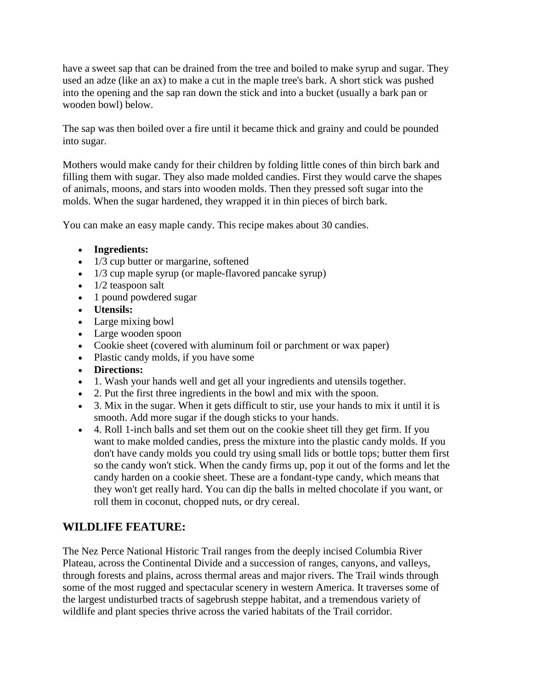have a sweet sap that can be drained from the tree and boiled to make syrup and sugar. They used an adze (like an ax) to make a cut in the maple tree's bark. A short stick was pushed into the opening and the sap ran down the stick and into a bucket (usually a bark pan or wooden bowl) below.

The sap was then boiled over a fire until it became thick and grainy and could be pounded into sugar.

Mothers would make candy for their children by folding little cones of thin birch bark and filling them with sugar. They also made molded candies. First they would carve the shapes of animals, moons, and stars into wooden molds. Then they pressed soft sugar into the molds. When the sugar hardened, they wrapped it in thin pieces of birch bark.

You can make an easy maple candy. This recipe makes about 30 candies.

- **Ingredients:**
- 1/3 cup butter or margarine, softened
- 1/3 cup maple syrup (or maple-flavored pancake syrup)
- 1/2 teaspoon salt
- 1 pound powdered sugar
- **Utensils:**
- Large mixing bowl
- Large wooden spoon
- Cookie sheet (covered with aluminum foil or parchment or wax paper)
- Plastic candy molds, if you have some
- **Directions:**
- 1. Wash your hands well and get all your ingredients and utensils together.
- 2. Put the first three ingredients in the bowl and mix with the spoon.
- 3. Mix in the sugar. When it gets difficult to stir, use your hands to mix it until it is smooth. Add more sugar if the dough sticks to your hands.
- 4. Roll 1-inch balls and set them out on the cookie sheet till they get firm. If you want to make molded candies, press the mixture into the plastic candy molds. If you don't have candy molds you could try using small lids or bottle tops; butter them first so the candy won't stick. When the candy firms up, pop it out of the forms and let the candy harden on a cookie sheet. These are a fondant-type candy, which means that they won't get really hard. You can dip the balls in melted chocolate if you want, or roll them in coconut, chopped nuts, or dry cereal.

## **WILDLIFE FEATURE:**

The Nez Perce National Historic Trail ranges from the deeply incised Columbia River Plateau, across the Continental Divide and a succession of ranges, canyons, and valleys, through forests and plains, across thermal areas and major rivers. The Trail winds through some of the most rugged and spectacular scenery in western America. It traverses some of the largest undisturbed tracts of sagebrush steppe habitat, and a tremendous variety of wildlife and plant species thrive across the varied habitats of the Trail corridor.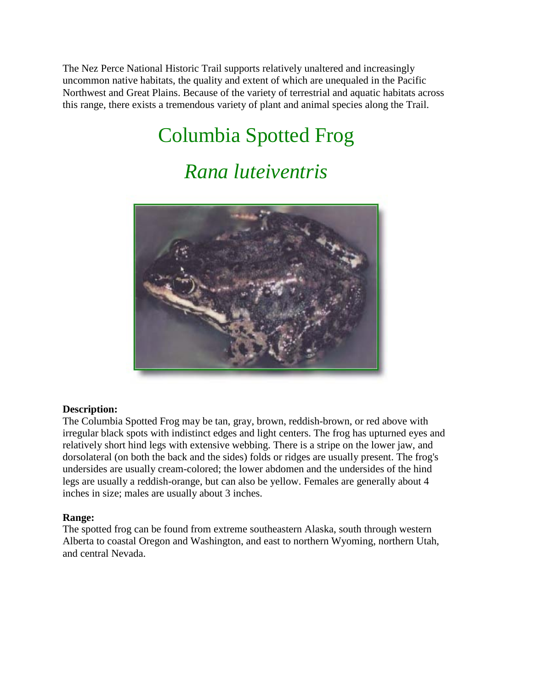The Nez Perce National Historic Trail supports relatively unaltered and increasingly uncommon native habitats, the quality and extent of which are unequaled in the Pacific Northwest and Great Plains. Because of the variety of terrestrial and aquatic habitats across this range, there exists a tremendous variety of plant and animal species along the Trail.

# Columbia Spotted Frog

## *Rana luteiventris*



#### **Description:**

The Columbia Spotted Frog may be tan, gray, brown, reddish-brown, or red above with irregular black spots with indistinct edges and light centers. The frog has upturned eyes and relatively short hind legs with extensive webbing. There is a stripe on the lower jaw, and dorsolateral (on both the back and the sides) folds or ridges are usually present. The frog's undersides are usually cream-colored; the lower abdomen and the undersides of the hind legs are usually a reddish-orange, but can also be yellow. Females are generally about 4 inches in size; males are usually about 3 inches.

#### **Range:**

The spotted frog can be found from extreme southeastern Alaska, south through western Alberta to coastal Oregon and Washington, and east to northern Wyoming, northern Utah, and central Nevada.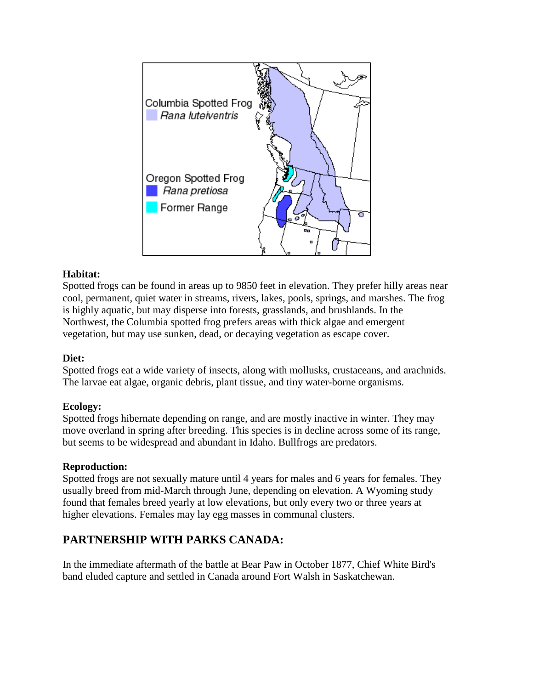

#### **Habitat:**

Spotted frogs can be found in areas up to 9850 feet in elevation. They prefer hilly areas near cool, permanent, quiet water in streams, rivers, lakes, pools, springs, and marshes. The frog is highly aquatic, but may disperse into forests, grasslands, and brushlands. In the Northwest, the Columbia spotted frog prefers areas with thick algae and emergent vegetation, but may use sunken, dead, or decaying vegetation as escape cover.

#### **Diet:**

Spotted frogs eat a wide variety of insects, along with mollusks, crustaceans, and arachnids. The larvae eat algae, organic debris, plant tissue, and tiny water-borne organisms.

#### **Ecology:**

Spotted frogs hibernate depending on range, and are mostly inactive in winter. They may move overland in spring after breeding. This species is in decline across some of its range, but seems to be widespread and abundant in Idaho. Bullfrogs are predators.

#### **Reproduction:**

Spotted frogs are not sexually mature until 4 years for males and 6 years for females. They usually breed from mid-March through June, depending on elevation. A Wyoming study found that females breed yearly at low elevations, but only every two or three years at higher elevations. Females may lay egg masses in communal clusters.

## **PARTNERSHIP WITH PARKS CANADA:**

In the immediate aftermath of the battle at Bear Paw in October 1877, Chief White Bird's band eluded capture and settled in Canada around Fort Walsh in Saskatchewan.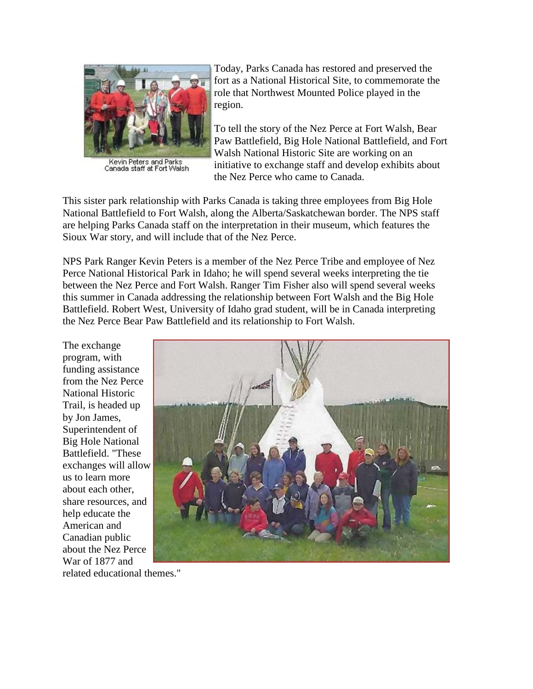

Kevin Peters and Parks<br>Canada staff at Fort Walsh

Today, Parks Canada has restored and preserved the fort as a National Historical Site, to commemorate the role that Northwest Mounted Police played in the region.

To tell the story of the Nez Perce at Fort Walsh, Bear Paw Battlefield, Big Hole National Battlefield, and Fort Walsh National Historic Site are working on an initiative to exchange staff and develop exhibits about the Nez Perce who came to Canada.

This sister park relationship with Parks Canada is taking three employees from Big Hole National Battlefield to Fort Walsh, along the Alberta/Saskatchewan border. The NPS staff are helping Parks Canada staff on the interpretation in their museum, which features the Sioux War story, and will include that of the Nez Perce.

NPS Park Ranger Kevin Peters is a member of the Nez Perce Tribe and employee of Nez Perce National Historical Park in Idaho; he will spend several weeks interpreting the tie between the Nez Perce and Fort Walsh. Ranger Tim Fisher also will spend several weeks this summer in Canada addressing the relationship between Fort Walsh and the Big Hole Battlefield. Robert West, University of Idaho grad student, will be in Canada interpreting the Nez Perce Bear Paw Battlefield and its relationship to Fort Walsh.

The exchange program, with funding assistance from the Nez Perce National Historic Trail, is headed up by Jon James, Superintendent of Big Hole National Battlefield. "These exchanges will allow us to learn more about each other, share resources, and help educate the American and Canadian public about the Nez Perce War of 1877 and



related educational themes."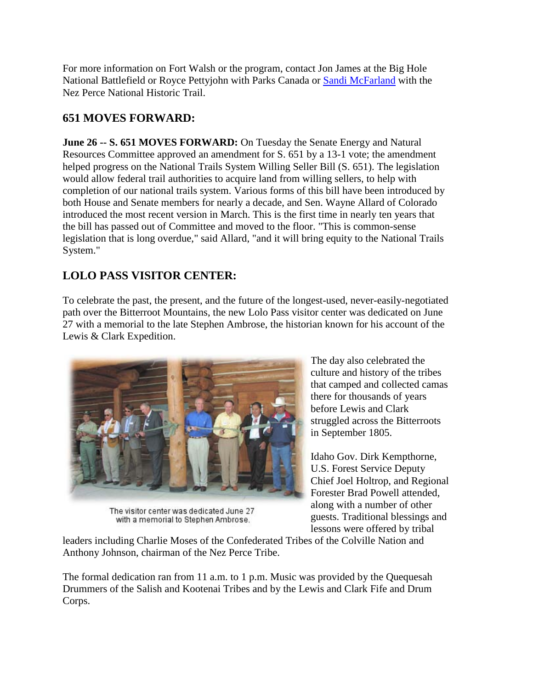For more information on Fort Walsh or the program, contact Jon James at the Big Hole National Battlefield or Royce Pettyjohn with Parks Canada or [Sandi McFarland](mailto:smcfarland01@fs.fed.us) with the Nez Perce National Historic Trail.

## **651 MOVES FORWARD:**

**June 26 -- S. 651 MOVES FORWARD:** On Tuesday the Senate Energy and Natural Resources Committee approved an amendment for S. 651 by a 13-1 vote; the amendment helped progress on the National Trails System Willing Seller Bill (S. 651). The legislation would allow federal trail authorities to acquire land from willing sellers, to help with completion of our national trails system. Various forms of this bill have been introduced by both House and Senate members for nearly a decade, and Sen. Wayne Allard of Colorado introduced the most recent version in March. This is the first time in nearly ten years that the bill has passed out of Committee and moved to the floor. "This is common-sense legislation that is long overdue," said Allard, "and it will bring equity to the National Trails System."

## **LOLO PASS VISITOR CENTER:**

To celebrate the past, the present, and the future of the longest-used, never-easily-negotiated path over the Bitterroot Mountains, the new Lolo Pass visitor center was dedicated on June 27 with a memorial to the late Stephen Ambrose, the historian known for his account of the Lewis & Clark Expedition.



The visitor center was dedicated June 27 with a memorial to Stephen Ambrose.

The day also celebrated the culture and history of the tribes that camped and collected camas there for thousands of years before Lewis and Clark struggled across the Bitterroots in September 1805.

Idaho Gov. Dirk Kempthorne, U.S. Forest Service Deputy Chief Joel Holtrop, and Regional Forester Brad Powell attended, along with a number of other guests. Traditional blessings and lessons were offered by tribal

leaders including Charlie Moses of the Confederated Tribes of the Colville Nation and Anthony Johnson, chairman of the Nez Perce Tribe.

The formal dedication ran from 11 a.m. to 1 p.m. Music was provided by the Quequesah Drummers of the Salish and Kootenai Tribes and by the Lewis and Clark Fife and Drum Corps.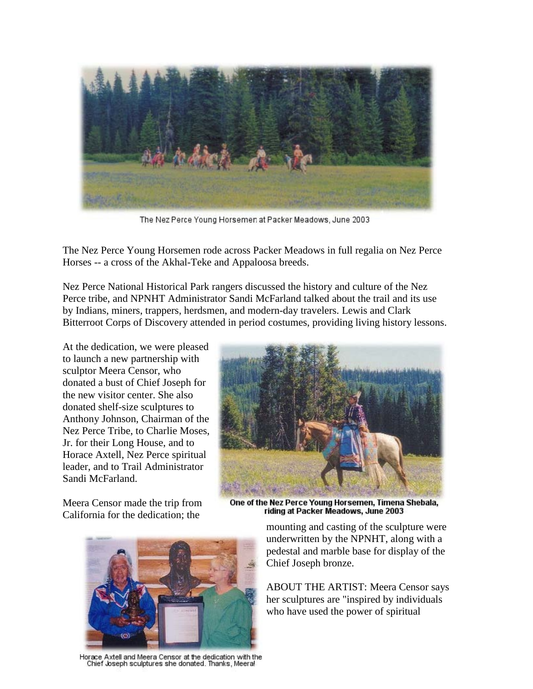

The Nez Perce Young Horsemen at Packer Meadows, June 2003

The Nez Perce Young Horsemen rode across Packer Meadows in full regalia on Nez Perce Horses -- a cross of the Akhal-Teke and Appaloosa breeds.

Nez Perce National Historical Park rangers discussed the history and culture of the Nez Perce tribe, and NPNHT Administrator Sandi McFarland talked about the trail and its use by Indians, miners, trappers, herdsmen, and modern-day travelers. Lewis and Clark Bitterroot Corps of Discovery attended in period costumes, providing living history lessons.

At the dedication, we were pleased to launch a new partnership with sculptor Meera Censor, who donated a bust of Chief Joseph for the new visitor center. She also donated shelf-size sculptures to Anthony Johnson, Chairman of the Nez Perce Tribe, to Charlie Moses, Jr. for their Long House, and to Horace Axtell, Nez Perce spiritual leader, and to Trail Administrator Sandi McFarland.

Meera Censor made the trip from California for the dedication; the



One of the Nez Perce Young Horsemen, Timena Shebala, riding at Packer Meadows, June 2003



Horace Axtell and Meera Censor at the dedication with the Chief Joseph sculptures she donated. Thanks, Meera!

mounting and casting of the sculpture were underwritten by the NPNHT, along with a pedestal and marble base for display of the Chief Joseph bronze.

ABOUT THE ARTIST: Meera Censor says her sculptures are "inspired by individuals who have used the power of spiritual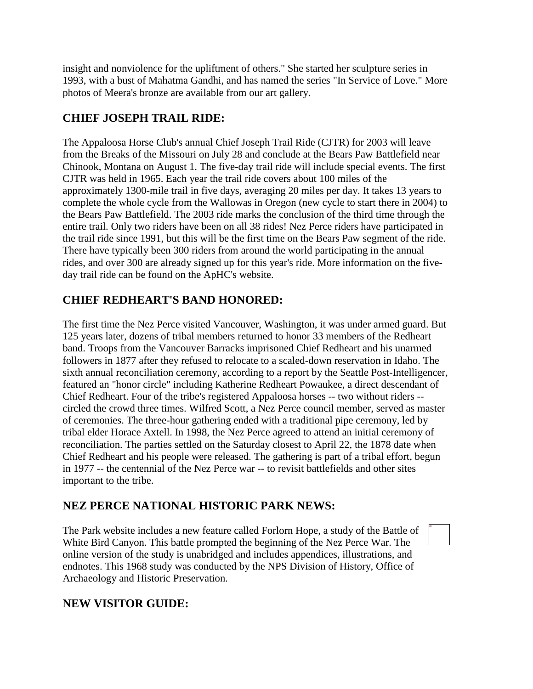insight and nonviolence for the upliftment of others." She started her sculpture series in 1993, with a bust of Mahatma Gandhi, and has named the series "In Service of Love." More photos of Meera's bronze are available from our art gallery.

## **CHIEF JOSEPH TRAIL RIDE:**

The Appaloosa Horse Club's annual Chief Joseph Trail Ride (CJTR) for 2003 will leave from the Breaks of the Missouri on July 28 and conclude at the Bears Paw Battlefield near Chinook, Montana on August 1. The five-day trail ride will include special events. The first CJTR was held in 1965. Each year the trail ride covers about 100 miles of the approximately 1300-mile trail in five days, averaging 20 miles per day. It takes 13 years to complete the whole cycle from the Wallowas in Oregon (new cycle to start there in 2004) to the Bears Paw Battlefield. The 2003 ride marks the conclusion of the third time through the entire trail. Only two riders have been on all 38 rides! Nez Perce riders have participated in the trail ride since 1991, but this will be the first time on the Bears Paw segment of the ride. There have typically been 300 riders from around the world participating in the annual rides, and over 300 are already signed up for this year's ride. More information on the fiveday trail ride can be found on the ApHC's website.

## **CHIEF REDHEART'S BAND HONORED:**

The first time the Nez Perce visited Vancouver, Washington, it was under armed guard. But 125 years later, dozens of tribal members returned to honor 33 members of the Redheart band. Troops from the Vancouver Barracks imprisoned Chief Redheart and his unarmed followers in 1877 after they refused to relocate to a scaled-down reservation in Idaho. The sixth annual reconciliation ceremony, according to a report by the Seattle Post-Intelligencer, featured an "honor circle" including Katherine Redheart Powaukee, a direct descendant of Chief Redheart. Four of the tribe's registered Appaloosa horses -- two without riders - circled the crowd three times. Wilfred Scott, a Nez Perce council member, served as master of ceremonies. The three-hour gathering ended with a traditional pipe ceremony, led by tribal elder Horace Axtell. In 1998, the Nez Perce agreed to attend an initial ceremony of reconciliation. The parties settled on the Saturday closest to April 22, the 1878 date when Chief Redheart and his people were released. The gathering is part of a tribal effort, begun in 1977 -- the centennial of the Nez Perce war -- to revisit battlefields and other sites important to the tribe.

## **NEZ PERCE NATIONAL HISTORIC PARK NEWS:**

The Park website includes a new feature called Forlorn Hope, a study of the Battle of White Bird Canyon. This battle prompted the beginning of the Nez Perce War. The online version of the study is unabridged and includes appendices, illustrations, and endnotes. This 1968 study was conducted by the NPS Division of History, Office of Archaeology and Historic Preservation.

## **NEW VISITOR GUIDE:**